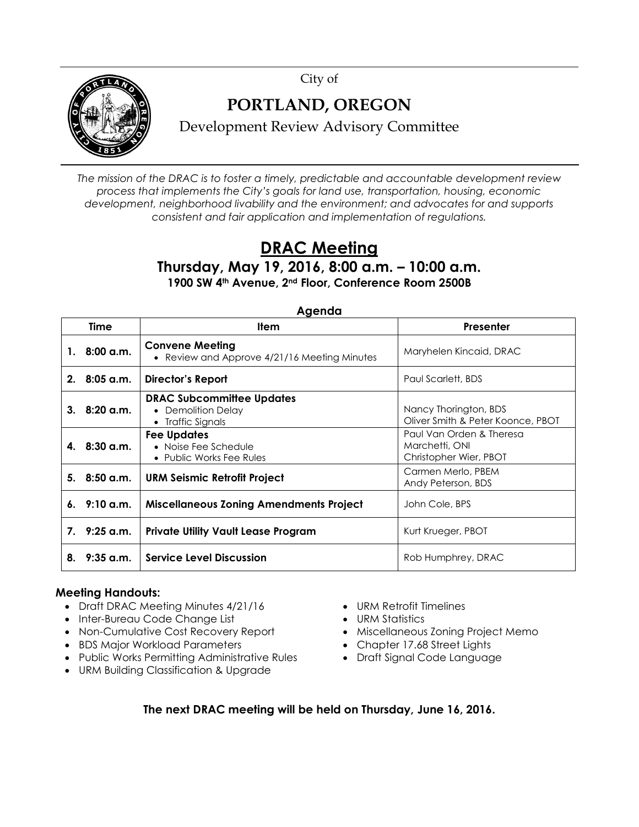City of



## **PORTLAND, OREGON**

Development Review Advisory Committee

*The mission of the DRAC is to foster a timely, predictable and accountable development review process that implements the City's goals for land use, transportation, housing, economic development, neighborhood livability and the environment; and advocates for and supports consistent and fair application and implementation of regulations.*

## **DRAC Meeting**

**Thursday, May 19, 2016, 8:00 a.m. – 10:00 a.m. 1900 SW 4th Avenue, 2nd Floor, Conference Room 2500B**

| Ayelluu        |             |                                                                           |                                                                      |  |  |  |  |  |
|----------------|-------------|---------------------------------------------------------------------------|----------------------------------------------------------------------|--|--|--|--|--|
|                | Time        | <b>Item</b>                                                               | Presenter                                                            |  |  |  |  |  |
| 1.             | $8:00$ a.m. | <b>Convene Meeting</b><br>• Review and Approve 4/21/16 Meeting Minutes    | Maryhelen Kincaid, DRAC                                              |  |  |  |  |  |
| 2 <sub>1</sub> | 8:05 a.m.   | Director's Report                                                         | Paul Scarlett, BDS                                                   |  |  |  |  |  |
| 3.             | 8:20 a.m.   | <b>DRAC Subcommittee Updates</b><br>• Demolition Delay<br>Traffic Signals | Nancy Thorington, BDS<br>Oliver Smith & Peter Koonce, PBOT           |  |  |  |  |  |
| 4.             | $8:30$ a.m. | Fee Updates<br>• Noise Fee Schedule<br>• Public Works Fee Rules           | Paul Van Orden & Theresa<br>Marchetti, ONI<br>Christopher Wier, PBOT |  |  |  |  |  |
| 5.             | $8:50$ a.m. | <b>URM Seismic Retrofit Project</b>                                       | Carmen Merlo, PBEM<br>Andy Peterson, BDS                             |  |  |  |  |  |
| 6.             | 9:10 a.m.   | <b>Miscellaneous Zoning Amendments Project</b>                            | John Cole, BPS                                                       |  |  |  |  |  |
| $7_{\cdot}$    | 9:25 a.m.   | <b>Private Utility Vault Lease Program</b>                                | Kurt Krueger, PBOT                                                   |  |  |  |  |  |
| 8.             | $9:35$ a.m. | <b>Service Level Discussion</b>                                           | Rob Humphrey, DRAC                                                   |  |  |  |  |  |

**Agenda**

## **Meeting Handouts:**

- Draft DRAC Meeting Minutes 4/21/16
- Inter-Bureau Code Change List
- Non-Cumulative Cost Recovery Report
- BDS Major Workload Parameters
- Public Works Permitting Administrative Rules
- URM Building Classification & Upgrade
- URM Retrofit Timelines
- URM Statistics
- Miscellaneous Zoning Project Memo
- Chapter 17.68 Street Lights
- Draft Signal Code Language

**The next DRAC meeting will be held on Thursday, June 16, 2016.**